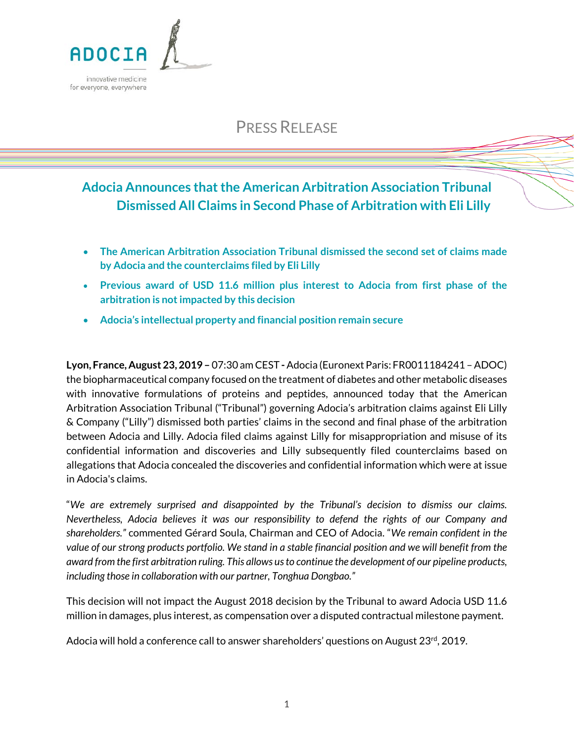

# PRESS RELEASE

## **Adocia Announces that the American Arbitration Association Tribunal Dismissed All Claims in Second Phase of Arbitration with Eli Lilly**

- **The American Arbitration Association Tribunal dismissed the second set of claims made by Adocia and the counterclaims filed by Eli Lilly**
- **Previous award of USD 11.6 million plus interest to Adocia from first phase of the arbitration is not impacted by this decision**
- **Adocia's intellectual property and financial position remain secure**

**Lyon, France, August 23, 2019 –** 07:30 am CEST **-**Adocia (Euronext Paris: FR0011184241 –ADOC) the biopharmaceutical company focused on the treatment of diabetes and other metabolic diseases with innovative formulations of proteins and peptides, announced today that the American Arbitration Association Tribunal ("Tribunal") governing Adocia's arbitration claims against Eli Lilly & Company ("Lilly") dismissed both parties' claims in the second and final phase of the arbitration between Adocia and Lilly. Adocia filed claims against Lilly for misappropriation and misuse of its confidential information and discoveries and Lilly subsequently filed counterclaims based on allegations that Adocia concealed the discoveries and confidential information which were at issue in Adocia's claims.

"*We are extremely surprised and disappointed by the Tribunal's decision to dismiss our claims. Nevertheless, Adocia believes it was our responsibility to defend the rights of our Company and shareholders."* commented Gérard Soula, Chairman and CEO of Adocia. "*We remain confident in the value of our strong products portfolio. We stand in a stable financial position and we will benefit from the award from the first arbitration ruling. This allows usto continue the development of our pipeline products, including those in collaboration with our partner, Tonghua Dongbao."* 

This decision will not impact the August 2018 decision by the Tribunal to award Adocia USD 11.6 million in damages, plus interest, as compensation over a disputed contractual milestone payment.

Adocia will hold a conference call to answer shareholders' questions on August  $23<sup>rd</sup>$ , 2019.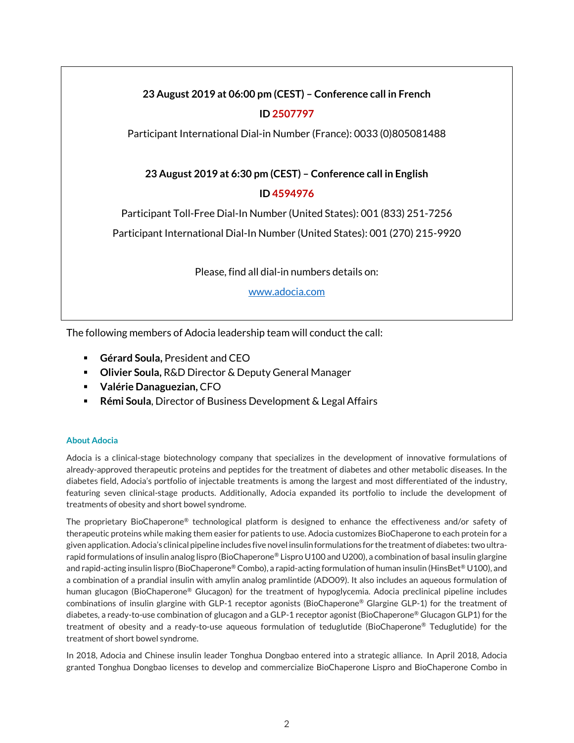## **23 August 2019 at 06:00 pm (CEST) – Conference call in French ID 2507797**

Participant International Dial-in Number (France): 0033 (0)805081488

## **23 August 2019 at 6:30 pm (CEST) – Conference call in English**

## **ID 4594976**

Participant Toll-Free Dial-In Number (United States): 001 (833) 251-7256

Participant International Dial-In Number (United States): 001 (270) 215-9920

Please, find all dial-in numbers details on:

[www.adocia.com](http://www.adocia.com/)

The following members of Adocia leadership team will conduct the call:

- **Gérard Soula,** President and CEO
- **Olivier Soula,** R&D Director & Deputy General Manager
- **Valérie Danaguezian,** CFO
- **Rémi Soula**, Director of Business Development & Legal Affairs

### **About Adocia**

Adocia is a clinical-stage biotechnology company that specializes in the development of innovative formulations of already-approved therapeutic proteins and peptides for the treatment of diabetes and other metabolic diseases. In the diabetes field, Adocia's portfolio of injectable treatments is among the largest and most differentiated of the industry, featuring seven clinical-stage products. Additionally, Adocia expanded its portfolio to include the development of treatments of obesity and short bowel syndrome.

The proprietary BioChaperone® technological platform is designed to enhance the effectiveness and/or safety of therapeutic proteins while making them easier for patients to use. Adocia customizes BioChaperone to each protein for a given application.Adocia's clinical pipeline includes five novel insulin formulations for the treatment of diabetes: two ultrarapid formulations of insulin analog lispro (BioChaperone® Lispro U100 and U200), a combination of basal insulin glargine and rapid-acting insulin lispro (BioChaperone® Combo), a rapid-acting formulation of human insulin (HinsBet® U100), and a combination of a prandial insulin with amylin analog pramlintide (ADO09). It also includes an aqueous formulation of human glucagon (BioChaperone® Glucagon) for the treatment of hypoglycemia. Adocia preclinical pipeline includes combinations of insulin glargine with GLP-1 receptor agonists (BioChaperone® Glargine GLP-1) for the treatment of diabetes, a ready-to-use combination of glucagon and a GLP-1 receptor agonist (BioChaperone® Glucagon GLP1) for the treatment of obesity and a ready-to-use aqueous formulation of teduglutide (BioChaperone® Teduglutide) for the treatment of short bowel syndrome.

In 2018, Adocia and Chinese insulin leader Tonghua Dongbao entered into a strategic alliance. In April 2018, Adocia granted Tonghua Dongbao licenses to develop and commercialize BioChaperone Lispro and BioChaperone Combo in